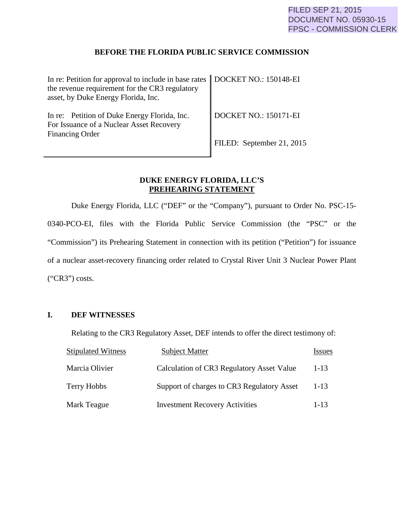#### **BEFORE THE FLORIDA PUBLIC SERVICE COMMISSION**

| In re: Petition for approval to include in base rates   DOCKET NO.: 150148-EI<br>the revenue requirement for the CR3 regulatory<br>asset, by Duke Energy Florida, Inc. |                                   |
|------------------------------------------------------------------------------------------------------------------------------------------------------------------------|-----------------------------------|
| In re: Petition of Duke Energy Florida, Inc.<br>For Issuance of a Nuclear Asset Recovery<br><b>Financing Order</b>                                                     | $\parallel$ DOCKET NO.: 150171-EI |
|                                                                                                                                                                        | FILED: September 21, 2015         |

### **DUKE ENERGY FLORIDA, LLC'S PREHEARING STATEMENT**

Duke Energy Florida, LLC ("DEF" or the "Company"), pursuant to Order No. PSC-15- 0340-PCO-EI, files with the Florida Public Service Commission (the "PSC" or the "Commission") its Prehearing Statement in connection with its petition ("Petition") for issuance of a nuclear asset-recovery financing order related to Crystal River Unit 3 Nuclear Power Plant ("CR3") costs.

### **I. DEF WITNESSES**

Relating to the CR3 Regulatory Asset, DEF intends to offer the direct testimony of:

| <b>Stipulated Witness</b> | <b>Subject Matter</b>                      | <i>Issues</i> |
|---------------------------|--------------------------------------------|---------------|
| Marcia Olivier            | Calculation of CR3 Regulatory Asset Value  | $1-13$        |
| Terry Hobbs               | Support of charges to CR3 Regulatory Asset | $1 - 13$      |
| Mark Teague               | <b>Investment Recovery Activities</b>      | $1 - 13$      |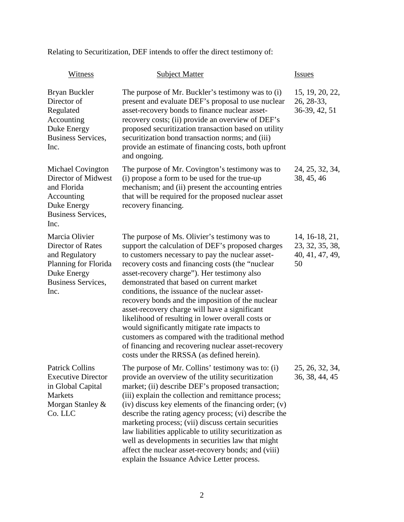Relating to Securitization, DEF intends to offer the direct testimony of:

| Witness                                                                                                                           | <b>Subject Matter</b>                                                                                                                                                                                                                                                                                                                                                                                                                                                                                                                                                                                                                                                                                                       | <b>Issues</b>                                              |
|-----------------------------------------------------------------------------------------------------------------------------------|-----------------------------------------------------------------------------------------------------------------------------------------------------------------------------------------------------------------------------------------------------------------------------------------------------------------------------------------------------------------------------------------------------------------------------------------------------------------------------------------------------------------------------------------------------------------------------------------------------------------------------------------------------------------------------------------------------------------------------|------------------------------------------------------------|
| Bryan Buckler<br>Director of<br>Regulated<br>Accounting<br>Duke Energy<br><b>Business Services,</b><br>Inc.                       | The purpose of Mr. Buckler's testimony was to (i)<br>present and evaluate DEF's proposal to use nuclear<br>asset-recovery bonds to finance nuclear asset-<br>recovery costs; (ii) provide an overview of DEF's<br>proposed securitization transaction based on utility<br>securitization bond transaction norms; and (iii)<br>provide an estimate of financing costs, both upfront<br>and ongoing.                                                                                                                                                                                                                                                                                                                          | 15, 19, 20, 22,<br>26, 28-33,<br>36-39, 42, 51             |
| <b>Michael Covington</b><br>Director of Midwest<br>and Florida<br>Accounting<br>Duke Energy<br>Business Services,<br>Inc.         | The purpose of Mr. Covington's testimony was to<br>(i) propose a form to be used for the true-up<br>mechanism; and (ii) present the accounting entries<br>that will be required for the proposed nuclear asset<br>recovery financing.                                                                                                                                                                                                                                                                                                                                                                                                                                                                                       | 24, 25, 32, 34,<br>38, 45, 46                              |
| Marcia Olivier<br><b>Director of Rates</b><br>and Regulatory<br>Planning for Florida<br>Duke Energy<br>Business Services,<br>Inc. | The purpose of Ms. Olivier's testimony was to<br>support the calculation of DEF's proposed charges<br>to customers necessary to pay the nuclear asset-<br>recovery costs and financing costs (the "nuclear<br>asset-recovery charge"). Her testimony also<br>demonstrated that based on current market<br>conditions, the issuance of the nuclear asset-<br>recovery bonds and the imposition of the nuclear<br>asset-recovery charge will have a significant<br>likelihood of resulting in lower overall costs or<br>would significantly mitigate rate impacts to<br>customers as compared with the traditional method<br>of financing and recovering nuclear asset-recovery<br>costs under the RRSSA (as defined herein). | 14, 16-18, 21,<br>23, 32, 35, 38,<br>40, 41, 47, 49,<br>50 |
| <b>Patrick Collins</b><br><b>Executive Director</b><br>in Global Capital<br><b>Markets</b><br>Morgan Stanley &<br>Co. LLC         | The purpose of Mr. Collins' testimony was to: (i)<br>provide an overview of the utility securitization<br>market; (ii) describe DEF's proposed transaction;<br>(iii) explain the collection and remittance process;<br>(iv) discuss key elements of the financing order; (v)<br>describe the rating agency process; (vi) describe the<br>marketing process; (vii) discuss certain securities<br>law liabilities applicable to utility securitization as<br>well as developments in securities law that might<br>affect the nuclear asset-recovery bonds; and (viii)<br>explain the Issuance Advice Letter process.                                                                                                          | 25, 26, 32, 34,<br>36, 38, 44, 45                          |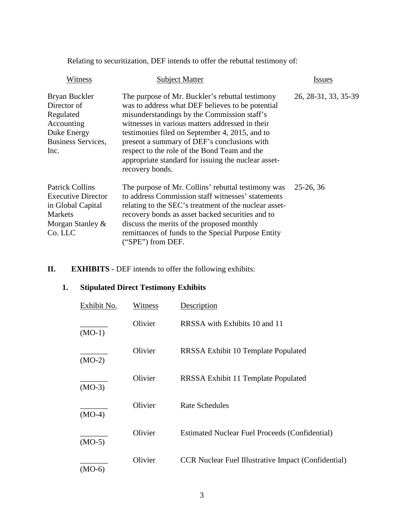Relating to securitization, DEF intends to offer the rebuttal testimony of:

| Witness                                                                                                                   | <b>Subject Matter</b>                                                                                                                                                                                                                                                                                                                                                                                                            | Issues               |
|---------------------------------------------------------------------------------------------------------------------------|----------------------------------------------------------------------------------------------------------------------------------------------------------------------------------------------------------------------------------------------------------------------------------------------------------------------------------------------------------------------------------------------------------------------------------|----------------------|
| Bryan Buckler<br>Director of<br>Regulated<br>Accounting<br>Duke Energy<br>Business Services,<br>Inc.                      | The purpose of Mr. Buckler's rebuttal testimony<br>was to address what DEF believes to be potential<br>misunderstandings by the Commission staff's<br>witnesses in various matters addressed in their<br>testimonies filed on September 4, 2015, and to<br>present a summary of DEF's conclusions with<br>respect to the role of the Bond Team and the<br>appropriate standard for issuing the nuclear asset-<br>recovery bonds. | 26, 28-31, 33, 35-39 |
| <b>Patrick Collins</b><br><b>Executive Director</b><br>in Global Capital<br><b>Markets</b><br>Morgan Stanley &<br>Co. LLC | The purpose of Mr. Collins' rebuttal testimony was<br>to address Commission staff witnesses' statements<br>relating to the SEC's treatment of the nuclear asset-<br>recovery bonds as asset backed securities and to<br>discuss the merits of the proposed monthly<br>remittances of funds to the Special Purpose Entity<br>("SPE") from DEF.                                                                                    | $25-26, 36$          |

## **II. EXHIBITS** - DEF intends to offer the following exhibits:

## **1. Stipulated Direct Testimony Exhibits**

| Exhibit No. | Witness | Description                                                |
|-------------|---------|------------------------------------------------------------|
| $(MO-1)$    | Olivier | RRSSA with Exhibits 10 and 11                              |
| $(MO-2)$    | Olivier | RRSSA Exhibit 10 Template Populated                        |
| $(MO-3)$    | Olivier | RRSSA Exhibit 11 Template Populated                        |
| $(MO-4)$    | Olivier | <b>Rate Schedules</b>                                      |
| $(MO-5)$    | Olivier | <b>Estimated Nuclear Fuel Proceeds (Confidential)</b>      |
| $(MO-6)$    | Olivier | <b>CCR Nuclear Fuel Illustrative Impact (Confidential)</b> |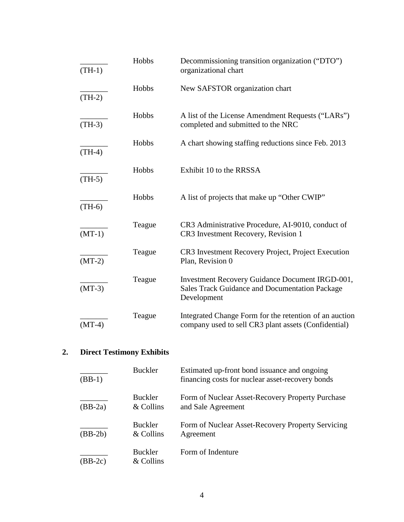| $(TH-1)$ | Hobbs  | Decommissioning transition organization ("DTO")<br>organizational chart                                                        |
|----------|--------|--------------------------------------------------------------------------------------------------------------------------------|
| $(TH-2)$ | Hobbs  | New SAFSTOR organization chart                                                                                                 |
| $(TH-3)$ | Hobbs  | A list of the License Amendment Requests ("LARs")<br>completed and submitted to the NRC                                        |
| $(TH-4)$ | Hobbs  | A chart showing staffing reductions since Feb. 2013                                                                            |
| $(TH-5)$ | Hobbs  | Exhibit 10 to the RRSSA                                                                                                        |
| $(TH-6)$ | Hobbs  | A list of projects that make up "Other CWIP"                                                                                   |
| $(MT-1)$ | Teague | CR3 Administrative Procedure, AI-9010, conduct of<br>CR3 Investment Recovery, Revision 1                                       |
| $(MT-2)$ | Teague | CR3 Investment Recovery Project, Project Execution<br>Plan, Revision 0                                                         |
| $(MT-3)$ | Teague | <b>Investment Recovery Guidance Document IRGD-001,</b><br><b>Sales Track Guidance and Documentation Package</b><br>Development |
| $(MT-4)$ | Teague | Integrated Change Form for the retention of an auction<br>company used to sell CR3 plant assets (Confidential)                 |

# **2. Direct Testimony Exhibits**

| $(BB-1)$  | <b>Buckler</b>              | Estimated up-front bond issuance and ongoing<br>financing costs for nuclear asset-recovery bonds |
|-----------|-----------------------------|--------------------------------------------------------------------------------------------------|
| $(BB-2a)$ | <b>Buckler</b><br>& Collins | Form of Nuclear Asset-Recovery Property Purchase<br>and Sale Agreement                           |
| $(BB-2b)$ | <b>Buckler</b><br>& Collins | Form of Nuclear Asset-Recovery Property Servicing<br>Agreement                                   |
| $(BB-2c)$ | <b>Buckler</b><br>& Collins | Form of Indenture                                                                                |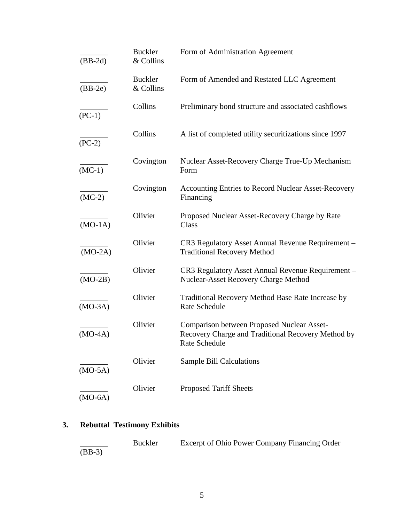| $(BB-2d)$ | <b>Buckler</b><br>& Collins | Form of Administration Agreement                                                                                         |
|-----------|-----------------------------|--------------------------------------------------------------------------------------------------------------------------|
| $(BB-2e)$ | <b>Buckler</b><br>& Collins | Form of Amended and Restated LLC Agreement                                                                               |
| $(PC-1)$  | Collins                     | Preliminary bond structure and associated cashflows                                                                      |
| $(PC-2)$  | Collins                     | A list of completed utility securitizations since 1997                                                                   |
| $(MC-1)$  | Covington                   | Nuclear Asset-Recovery Charge True-Up Mechanism<br>Form                                                                  |
| $(MC-2)$  | Covington                   | Accounting Entries to Record Nuclear Asset-Recovery<br>Financing                                                         |
| $(MO-1A)$ | Olivier                     | Proposed Nuclear Asset-Recovery Charge by Rate<br>Class                                                                  |
| $(MO-2A)$ | Olivier                     | CR3 Regulatory Asset Annual Revenue Requirement -<br><b>Traditional Recovery Method</b>                                  |
| $(MO-2B)$ | Olivier                     | CR3 Regulatory Asset Annual Revenue Requirement -<br>Nuclear-Asset Recovery Charge Method                                |
| $(MO-3A)$ | Olivier                     | Traditional Recovery Method Base Rate Increase by<br>Rate Schedule                                                       |
| $(MO-4A)$ | Olivier                     | <b>Comparison between Proposed Nuclear Asset-</b><br>Recovery Charge and Traditional Recovery Method by<br>Rate Schedule |
| $(MO-5A)$ | Olivier                     | <b>Sample Bill Calculations</b>                                                                                          |
| $(MO-6A)$ | Olivier                     | <b>Proposed Tariff Sheets</b>                                                                                            |

# **3. Rebuttal Testimony Exhibits**

|          | <b>Buckler</b> | Excerpt of Ohio Power Company Financing Order |
|----------|----------------|-----------------------------------------------|
| $(BB-3)$ |                |                                               |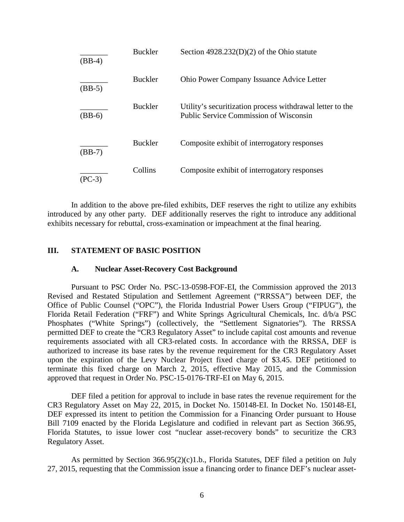| $(BB-4)$ | <b>Buckler</b> | Section $4928.232(D)(2)$ of the Ohio statute                                                        |
|----------|----------------|-----------------------------------------------------------------------------------------------------|
| $(BB-5)$ | <b>Buckler</b> | Ohio Power Company Issuance Advice Letter                                                           |
| $(BB-6)$ | <b>Buckler</b> | Utility's securitization process withdrawal letter to the<br>Public Service Commission of Wisconsin |
| $(BB-7)$ | <b>Buckler</b> | Composite exhibit of interrogatory responses                                                        |
| (PC-3)   | Collins        | Composite exhibit of interrogatory responses                                                        |

In addition to the above pre-filed exhibits, DEF reserves the right to utilize any exhibits introduced by any other party. DEF additionally reserves the right to introduce any additional exhibits necessary for rebuttal, cross-examination or impeachment at the final hearing.

#### **III. STATEMENT OF BASIC POSITION**

#### **A. Nuclear Asset-Recovery Cost Background**

Pursuant to PSC Order No. PSC-13-0598-FOF-EI, the Commission approved the 2013 Revised and Restated Stipulation and Settlement Agreement ("RRSSA") between DEF, the Office of Public Counsel ("OPC"), the Florida Industrial Power Users Group ("FIPUG"), the Florida Retail Federation ("FRF") and White Springs Agricultural Chemicals, Inc. d/b/a PSC Phosphates ("White Springs") (collectively, the "Settlement Signatories"). The RRSSA permitted DEF to create the "CR3 Regulatory Asset" to include capital cost amounts and revenue requirements associated with all CR3-related costs. In accordance with the RRSSA, DEF is authorized to increase its base rates by the revenue requirement for the CR3 Regulatory Asset upon the expiration of the Levy Nuclear Project fixed charge of \$3.45. DEF petitioned to terminate this fixed charge on March 2, 2015, effective May 2015, and the Commission approved that request in Order No. PSC-15-0176-TRF-EI on May 6, 2015.

DEF filed a petition for approval to include in base rates the revenue requirement for the CR3 Regulatory Asset on May 22, 2015, in Docket No. 150148-EI. In Docket No. 150148-EI, DEF expressed its intent to petition the Commission for a Financing Order pursuant to House Bill 7109 enacted by the Florida Legislature and codified in relevant part as Section 366.95, Florida Statutes, to issue lower cost "nuclear asset-recovery bonds" to securitize the CR3 Regulatory Asset.

 As permitted by Section 366.95(2)(c)1.b., Florida Statutes, DEF filed a petition on July 27, 2015, requesting that the Commission issue a financing order to finance DEF's nuclear asset-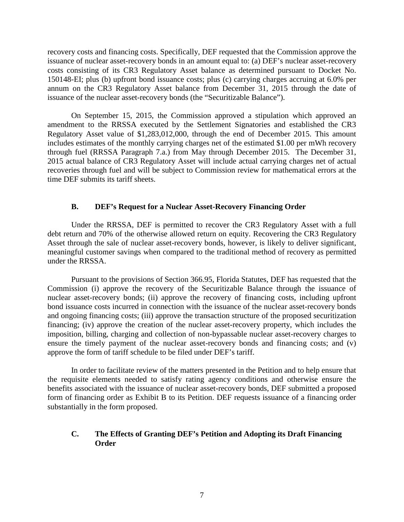recovery costs and financing costs. Specifically, DEF requested that the Commission approve the issuance of nuclear asset-recovery bonds in an amount equal to: (a) DEF's nuclear asset-recovery costs consisting of its CR3 Regulatory Asset balance as determined pursuant to Docket No. 150148-EI; plus (b) upfront bond issuance costs; plus (c) carrying charges accruing at 6.0% per annum on the CR3 Regulatory Asset balance from December 31, 2015 through the date of issuance of the nuclear asset-recovery bonds (the "Securitizable Balance").

On September 15, 2015, the Commission approved a stipulation which approved an amendment to the RRSSA executed by the Settlement Signatories and established the CR3 Regulatory Asset value of \$1,283,012,000, through the end of December 2015. This amount includes estimates of the monthly carrying charges net of the estimated \$1.00 per mWh recovery through fuel (RRSSA Paragraph 7.a.) from May through December 2015. The December 31, 2015 actual balance of CR3 Regulatory Asset will include actual carrying charges net of actual recoveries through fuel and will be subject to Commission review for mathematical errors at the time DEF submits its tariff sheets.

#### **B. DEF's Request for a Nuclear Asset-Recovery Financing Order**

Under the RRSSA, DEF is permitted to recover the CR3 Regulatory Asset with a full debt return and 70% of the otherwise allowed return on equity. Recovering the CR3 Regulatory Asset through the sale of nuclear asset-recovery bonds, however, is likely to deliver significant, meaningful customer savings when compared to the traditional method of recovery as permitted under the RRSSA.

Pursuant to the provisions of Section 366.95, Florida Statutes, DEF has requested that the Commission (i) approve the recovery of the Securitizable Balance through the issuance of nuclear asset-recovery bonds; (ii) approve the recovery of financing costs, including upfront bond issuance costs incurred in connection with the issuance of the nuclear asset-recovery bonds and ongoing financing costs; (iii) approve the transaction structure of the proposed securitization financing; (iv) approve the creation of the nuclear asset-recovery property, which includes the imposition, billing, charging and collection of non-bypassable nuclear asset-recovery charges to ensure the timely payment of the nuclear asset-recovery bonds and financing costs; and (v) approve the form of tariff schedule to be filed under DEF's tariff.

In order to facilitate review of the matters presented in the Petition and to help ensure that the requisite elements needed to satisfy rating agency conditions and otherwise ensure the benefits associated with the issuance of nuclear asset-recovery bonds, DEF submitted a proposed form of financing order as Exhibit B to its Petition. DEF requests issuance of a financing order substantially in the form proposed.

#### **C. The Effects of Granting DEF's Petition and Adopting its Draft Financing Order**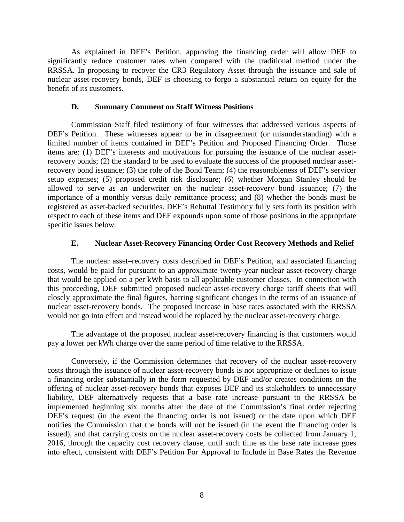As explained in DEF's Petition, approving the financing order will allow DEF to significantly reduce customer rates when compared with the traditional method under the RRSSA. In proposing to recover the CR3 Regulatory Asset through the issuance and sale of nuclear asset-recovery bonds, DEF is choosing to forgo a substantial return on equity for the benefit of its customers.

#### **D. Summary Comment on Staff Witness Positions**

Commission Staff filed testimony of four witnesses that addressed various aspects of DEF's Petition. These witnesses appear to be in disagreement (or misunderstanding) with a limited number of items contained in DEF's Petition and Proposed Financing Order. Those items are: (1) DEF's interests and motivations for pursuing the issuance of the nuclear assetrecovery bonds; (2) the standard to be used to evaluate the success of the proposed nuclear assetrecovery bond issuance; (3) the role of the Bond Team; (4) the reasonableness of DEF's servicer setup expenses; (5) proposed credit risk disclosure; (6) whether Morgan Stanley should be allowed to serve as an underwriter on the nuclear asset-recovery bond issuance; (7) the importance of a monthly versus daily remittance process; and (8) whether the bonds must be registered as asset-backed securities. DEF's Rebuttal Testimony fully sets forth its position with respect to each of these items and DEF expounds upon some of those positions in the appropriate specific issues below.

#### **E. Nuclear Asset-Recovery Financing Order Cost Recovery Methods and Relief**

The nuclear asset–recovery costs described in DEF's Petition, and associated financing costs, would be paid for pursuant to an approximate twenty-year nuclear asset-recovery charge that would be applied on a per kWh basis to all applicable customer classes. In connection with this proceeding, DEF submitted proposed nuclear asset-recovery charge tariff sheets that will closely approximate the final figures, barring significant changes in the terms of an issuance of nuclear asset-recovery bonds. The proposed increase in base rates associated with the RRSSA would not go into effect and instead would be replaced by the nuclear asset-recovery charge.

The advantage of the proposed nuclear asset-recovery financing is that customers would pay a lower per kWh charge over the same period of time relative to the RRSSA.

Conversely, if the Commission determines that recovery of the nuclear asset-recovery costs through the issuance of nuclear asset-recovery bonds is not appropriate or declines to issue a financing order substantially in the form requested by DEF and/or creates conditions on the offering of nuclear asset-recovery bonds that exposes DEF and its stakeholders to unnecessary liability, DEF alternatively requests that a base rate increase pursuant to the RRSSA be implemented beginning six months after the date of the Commission's final order rejecting DEF's request (in the event the financing order is not issued) or the date upon which DEF notifies the Commission that the bonds will not be issued (in the event the financing order is issued), and that carrying costs on the nuclear asset-recovery costs be collected from January 1, 2016, through the capacity cost recovery clause, until such time as the base rate increase goes into effect, consistent with DEF's Petition For Approval to Include in Base Rates the Revenue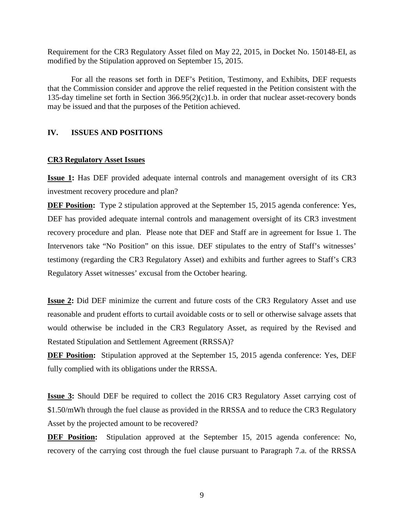Requirement for the CR3 Regulatory Asset filed on May 22, 2015, in Docket No. 150148-EI, as modified by the Stipulation approved on September 15, 2015.

For all the reasons set forth in DEF's Petition, Testimony, and Exhibits, DEF requests that the Commission consider and approve the relief requested in the Petition consistent with the 135-day timeline set forth in Section 366.95(2)(c)1.b. in order that nuclear asset-recovery bonds may be issued and that the purposes of the Petition achieved.

#### **IV. ISSUES AND POSITIONS**

#### **CR3 Regulatory Asset Issues**

**Issue 1:** Has DEF provided adequate internal controls and management oversight of its CR3 investment recovery procedure and plan?

**DEF Position:** Type 2 stipulation approved at the September 15, 2015 agenda conference: Yes, DEF has provided adequate internal controls and management oversight of its CR3 investment recovery procedure and plan. Please note that DEF and Staff are in agreement for Issue 1. The Intervenors take "No Position" on this issue. DEF stipulates to the entry of Staff's witnesses' testimony (regarding the CR3 Regulatory Asset) and exhibits and further agrees to Staff's CR3 Regulatory Asset witnesses' excusal from the October hearing.

**Issue 2:** Did DEF minimize the current and future costs of the CR3 Regulatory Asset and use reasonable and prudent efforts to curtail avoidable costs or to sell or otherwise salvage assets that would otherwise be included in the CR3 Regulatory Asset, as required by the Revised and Restated Stipulation and Settlement Agreement (RRSSA)?

**DEF Position:** Stipulation approved at the September 15, 2015 agenda conference: Yes, DEF fully complied with its obligations under the RRSSA.

**Issue 3:** Should DEF be required to collect the 2016 CR3 Regulatory Asset carrying cost of \$1.50/mWh through the fuel clause as provided in the RRSSA and to reduce the CR3 Regulatory Asset by the projected amount to be recovered?

**DEF Position:** Stipulation approved at the September 15, 2015 agenda conference: No, recovery of the carrying cost through the fuel clause pursuant to Paragraph 7.a. of the RRSSA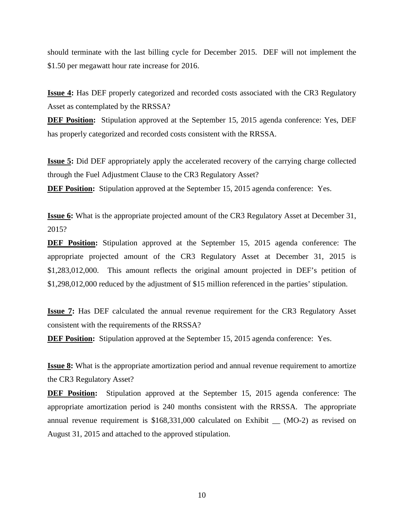should terminate with the last billing cycle for December 2015. DEF will not implement the \$1.50 per megawatt hour rate increase for 2016.

**Issue 4:** Has DEF properly categorized and recorded costs associated with the CR3 Regulatory Asset as contemplated by the RRSSA?

**DEF Position:** Stipulation approved at the September 15, 2015 agenda conference: Yes, DEF has properly categorized and recorded costs consistent with the RRSSA.

**Issue 5:** Did DEF appropriately apply the accelerated recovery of the carrying charge collected through the Fuel Adjustment Clause to the CR3 Regulatory Asset?

**DEF Position:** Stipulation approved at the September 15, 2015 agenda conference: Yes.

**Issue 6:** What is the appropriate projected amount of the CR3 Regulatory Asset at December 31, 2015?

**DEF Position:** Stipulation approved at the September 15, 2015 agenda conference: The appropriate projected amount of the CR3 Regulatory Asset at December 31, 2015 is \$1,283,012,000. This amount reflects the original amount projected in DEF's petition of \$1,298,012,000 reduced by the adjustment of \$15 million referenced in the parties' stipulation.

**Issue 7:** Has DEF calculated the annual revenue requirement for the CR3 Regulatory Asset consistent with the requirements of the RRSSA?

**DEF Position:** Stipulation approved at the September 15, 2015 agenda conference: Yes.

**Issue 8:** What is the appropriate amortization period and annual revenue requirement to amortize the CR3 Regulatory Asset?

**DEF Position:** Stipulation approved at the September 15, 2015 agenda conference: The appropriate amortization period is 240 months consistent with the RRSSA. The appropriate annual revenue requirement is \$168,331,000 calculated on Exhibit \_\_ (MO-2) as revised on August 31, 2015 and attached to the approved stipulation.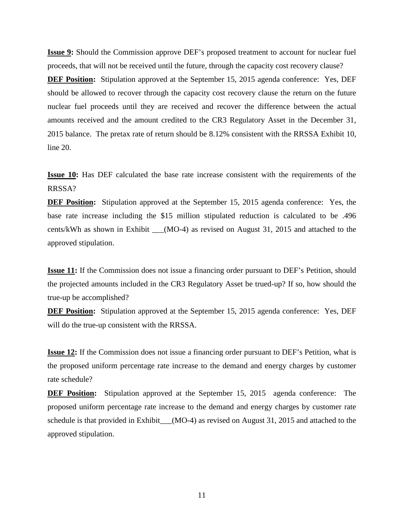**Issue 9:** Should the Commission approve DEF's proposed treatment to account for nuclear fuel proceeds, that will not be received until the future, through the capacity cost recovery clause?

**DEF Position:** Stipulation approved at the September 15, 2015 agenda conference: Yes, DEF should be allowed to recover through the capacity cost recovery clause the return on the future nuclear fuel proceeds until they are received and recover the difference between the actual amounts received and the amount credited to the CR3 Regulatory Asset in the December 31, 2015 balance. The pretax rate of return should be 8.12% consistent with the RRSSA Exhibit 10, line 20.

**Issue 10:** Has DEF calculated the base rate increase consistent with the requirements of the RRSSA?

**DEF Position:** Stipulation approved at the September 15, 2015 agenda conference: Yes, the base rate increase including the \$15 million stipulated reduction is calculated to be .496 cents/kWh as shown in Exhibit \_\_\_(MO-4) as revised on August 31, 2015 and attached to the approved stipulation.

**Issue 11:** If the Commission does not issue a financing order pursuant to DEF's Petition, should the projected amounts included in the CR3 Regulatory Asset be trued-up? If so, how should the true-up be accomplished?

**DEF Position:** Stipulation approved at the September 15, 2015 agenda conference: Yes, DEF will do the true-up consistent with the RRSSA.

**Issue 12:** If the Commission does not issue a financing order pursuant to DEF's Petition, what is the proposed uniform percentage rate increase to the demand and energy charges by customer rate schedule?

**DEF Position:** Stipulation approved at the September 15, 2015 agenda conference: The proposed uniform percentage rate increase to the demand and energy charges by customer rate schedule is that provided in Exhibit\_\_\_(MO-4) as revised on August 31, 2015 and attached to the approved stipulation.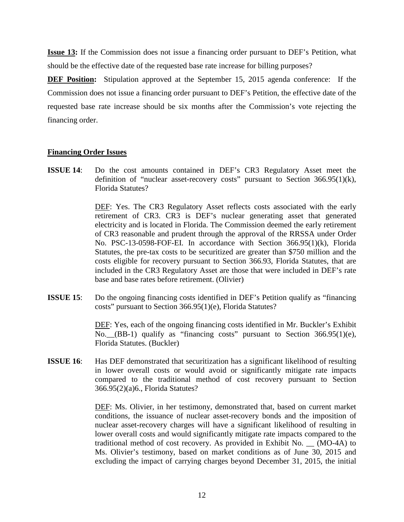**Issue 13:** If the Commission does not issue a financing order pursuant to DEF's Petition, what should be the effective date of the requested base rate increase for billing purposes?

**DEF Position:** Stipulation approved at the September 15, 2015 agenda conference: If the Commission does not issue a financing order pursuant to DEF's Petition, the effective date of the requested base rate increase should be six months after the Commission's vote rejecting the financing order.

#### **Financing Order Issues**

**ISSUE 14**: Do the cost amounts contained in DEF's CR3 Regulatory Asset meet the definition of "nuclear asset-recovery costs" pursuant to Section 366.95(1)(k), Florida Statutes?

> DEF: Yes. The CR3 Regulatory Asset reflects costs associated with the early retirement of CR3. CR3 is DEF's nuclear generating asset that generated electricity and is located in Florida. The Commission deemed the early retirement of CR3 reasonable and prudent through the approval of the RRSSA under Order No. PSC-13-0598-FOF-EI. In accordance with Section 366.95(1)(k), Florida Statutes, the pre-tax costs to be securitized are greater than \$750 million and the costs eligible for recovery pursuant to Section 366.93, Florida Statutes, that are included in the CR3 Regulatory Asset are those that were included in DEF's rate base and base rates before retirement. (Olivier)

**ISSUE 15**: Do the ongoing financing costs identified in DEF's Petition qualify as "financing" costs" pursuant to Section 366.95(1)(e), Florida Statutes?

> DEF: Yes, each of the ongoing financing costs identified in Mr. Buckler's Exhibit No.\_\_(BB-1) qualify as "financing costs" pursuant to Section 366.95(1)(e), Florida Statutes. (Buckler)

**ISSUE 16**: Has DEF demonstrated that securitization has a significant likelihood of resulting in lower overall costs or would avoid or significantly mitigate rate impacts compared to the traditional method of cost recovery pursuant to Section 366.95(2)(a)6., Florida Statutes?

> DEF: Ms. Olivier, in her testimony, demonstrated that, based on current market conditions, the issuance of nuclear asset-recovery bonds and the imposition of nuclear asset-recovery charges will have a significant likelihood of resulting in lower overall costs and would significantly mitigate rate impacts compared to the traditional method of cost recovery. As provided in Exhibit No. \_\_ (MO-4A) to Ms. Olivier's testimony, based on market conditions as of June 30, 2015 and excluding the impact of carrying charges beyond December 31, 2015, the initial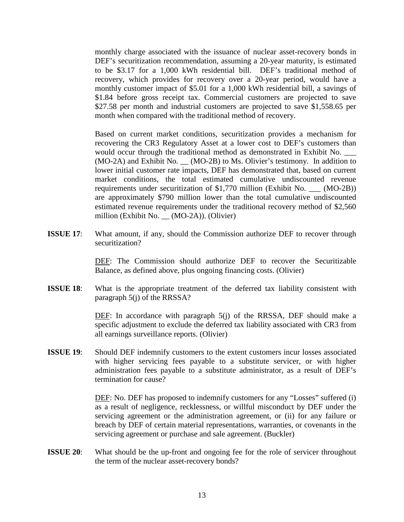monthly charge associated with the issuance of nuclear asset-recovery bonds in DEF's securitization recommendation, assuming a 20-year maturity, is estimated to be \$3.17 for a 1,000 kWh residential bill. DEF's traditional method of recovery, which provides for recovery over a 20-year period, would have a monthly customer impact of \$5.01 for a 1,000 kWh residential bill, a savings of \$1.84 before gross receipt tax. Commercial customers are projected to save \$27.58 per month and industrial customers are projected to save \$1,558.65 per month when compared with the traditional method of recovery.

Based on current market conditions, securitization provides a mechanism for recovering the CR3 Regulatory Asset at a lower cost to DEF's customers than would occur through the traditional method as demonstrated in Exhibit No. \_\_\_ (MO-2A) and Exhibit No. \_\_ (MO-2B) to Ms. Olivier's testimony. In addition to lower initial customer rate impacts, DEF has demonstrated that, based on current market conditions, the total estimated cumulative undiscounted revenue requirements under securitization of \$1,770 million (Exhibit No. \_\_\_ (MO-2B)) are approximately \$790 million lower than the total cumulative undiscounted estimated revenue requirements under the traditional recovery method of \$2,560 million (Exhibit No. \_\_ (MO-2A)). (Olivier)

**ISSUE 17:** What amount, if any, should the Commission authorize DEF to recover through securitization?

> DEF: The Commission should authorize DEF to recover the Securitizable Balance, as defined above, plus ongoing financing costs. (Olivier)

**ISSUE 18**: What is the appropriate treatment of the deferred tax liability consistent with paragraph 5(j) of the RRSSA?

> DEF: In accordance with paragraph 5(j) of the RRSSA, DEF should make a specific adjustment to exclude the deferred tax liability associated with CR3 from all earnings surveillance reports. (Olivier)

**ISSUE 19:** Should DEF indemnify customers to the extent customers incur losses associated with higher servicing fees payable to a substitute servicer, or with higher administration fees payable to a substitute administrator, as a result of DEF's termination for cause?

> DEF: No. DEF has proposed to indemnify customers for any "Losses" suffered (i) as a result of negligence, recklessness, or willful misconduct by DEF under the servicing agreement or the administration agreement, or (ii) for any failure or breach by DEF of certain material representations, warranties, or covenants in the servicing agreement or purchase and sale agreement. (Buckler)

**ISSUE 20:** What should be the up-front and ongoing fee for the role of servicer throughout the term of the nuclear asset-recovery bonds?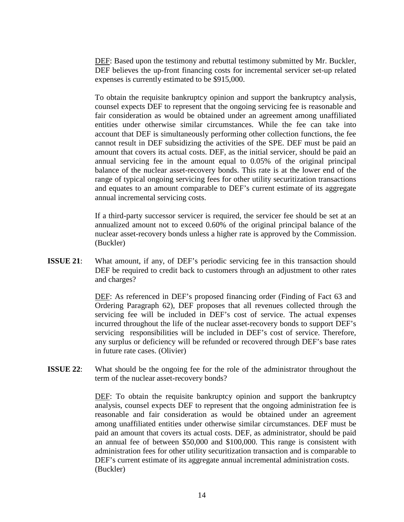DEF: Based upon the testimony and rebuttal testimony submitted by Mr. Buckler, DEF believes the up-front financing costs for incremental servicer set-up related expenses is currently estimated to be \$915,000.

To obtain the requisite bankruptcy opinion and support the bankruptcy analysis, counsel expects DEF to represent that the ongoing servicing fee is reasonable and fair consideration as would be obtained under an agreement among unaffiliated entities under otherwise similar circumstances. While the fee can take into account that DEF is simultaneously performing other collection functions, the fee cannot result in DEF subsidizing the activities of the SPE. DEF must be paid an amount that covers its actual costs. DEF, as the initial servicer, should be paid an annual servicing fee in the amount equal to 0.05% of the original principal balance of the nuclear asset-recovery bonds. This rate is at the lower end of the range of typical ongoing servicing fees for other utility securitization transactions and equates to an amount comparable to DEF's current estimate of its aggregate annual incremental servicing costs.

If a third-party successor servicer is required, the servicer fee should be set at an annualized amount not to exceed 0.60% of the original principal balance of the nuclear asset-recovery bonds unless a higher rate is approved by the Commission. (Buckler)

**ISSUE 21**: What amount, if any, of DEF's periodic servicing fee in this transaction should DEF be required to credit back to customers through an adjustment to other rates and charges?

> DEF: As referenced in DEF's proposed financing order (Finding of Fact 63 and Ordering Paragraph 62), DEF proposes that all revenues collected through the servicing fee will be included in DEF's cost of service. The actual expenses incurred throughout the life of the nuclear asset-recovery bonds to support DEF's servicing responsibilities will be included in DEF's cost of service. Therefore, any surplus or deficiency will be refunded or recovered through DEF's base rates in future rate cases. (Olivier)

**ISSUE 22**: What should be the ongoing fee for the role of the administrator throughout the term of the nuclear asset-recovery bonds?

> DEF: To obtain the requisite bankruptcy opinion and support the bankruptcy analysis, counsel expects DEF to represent that the ongoing administration fee is reasonable and fair consideration as would be obtained under an agreement among unaffiliated entities under otherwise similar circumstances. DEF must be paid an amount that covers its actual costs. DEF, as administrator, should be paid an annual fee of between \$50,000 and \$100,000. This range is consistent with administration fees for other utility securitization transaction and is comparable to DEF's current estimate of its aggregate annual incremental administration costs. (Buckler)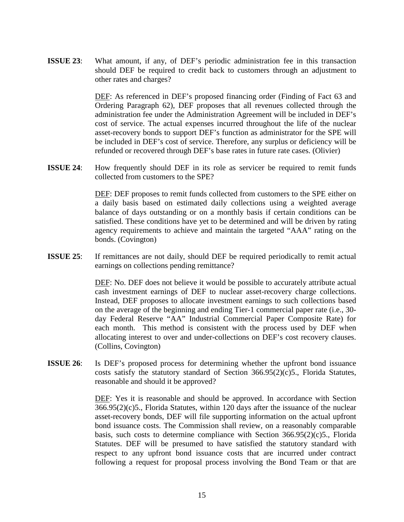**ISSUE 23**: What amount, if any, of DEF's periodic administration fee in this transaction should DEF be required to credit back to customers through an adjustment to other rates and charges?

> DEF: As referenced in DEF's proposed financing order (Finding of Fact 63 and Ordering Paragraph 62), DEF proposes that all revenues collected through the administration fee under the Administration Agreement will be included in DEF's cost of service. The actual expenses incurred throughout the life of the nuclear asset-recovery bonds to support DEF's function as administrator for the SPE will be included in DEF's cost of service. Therefore, any surplus or deficiency will be refunded or recovered through DEF's base rates in future rate cases. (Olivier)

**ISSUE 24:** How frequently should DEF in its role as servicer be required to remit funds collected from customers to the SPE?

> DEF: DEF proposes to remit funds collected from customers to the SPE either on a daily basis based on estimated daily collections using a weighted average balance of days outstanding or on a monthly basis if certain conditions can be satisfied. These conditions have yet to be determined and will be driven by rating agency requirements to achieve and maintain the targeted "AAA" rating on the bonds. (Covington)

**ISSUE 25:** If remittances are not daily, should DEF be required periodically to remit actual earnings on collections pending remittance?

> DEF: No. DEF does not believe it would be possible to accurately attribute actual cash investment earnings of DEF to nuclear asset-recovery charge collections. Instead, DEF proposes to allocate investment earnings to such collections based on the average of the beginning and ending Tier-1 commercial paper rate (i.e., 30 day Federal Reserve "AA" Industrial Commercial Paper Composite Rate) for each month. This method is consistent with the process used by DEF when allocating interest to over and under-collections on DEF's cost recovery clauses. (Collins, Covington)

**ISSUE 26:** Is DEF's proposed process for determining whether the upfront bond issuance costs satisfy the statutory standard of Section 366.95(2)(c)5., Florida Statutes, reasonable and should it be approved?

> DEF: Yes it is reasonable and should be approved. In accordance with Section  $366.95(2)(c)5$ ., Florida Statutes, within 120 days after the issuance of the nuclear asset-recovery bonds, DEF will file supporting information on the actual upfront bond issuance costs. The Commission shall review, on a reasonably comparable basis, such costs to determine compliance with Section 366.95(2)(c)5., Florida Statutes. DEF will be presumed to have satisfied the statutory standard with respect to any upfront bond issuance costs that are incurred under contract following a request for proposal process involving the Bond Team or that are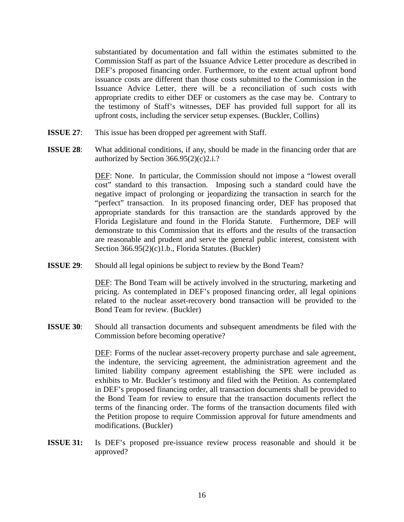substantiated by documentation and fall within the estimates submitted to the Commission Staff as part of the Issuance Advice Letter procedure as described in DEF's proposed financing order. Furthermore, to the extent actual upfront bond issuance costs are different than those costs submitted to the Commission in the Issuance Advice Letter, there will be a reconciliation of such costs with appropriate credits to either DEF or customers as the case may be. Contrary to the testimony of Staff's witnesses, DEF has provided full support for all its upfront costs, including the servicer setup expenses. (Buckler, Collins)

- **ISSUE 27:** This issue has been dropped per agreement with Staff.
- **ISSUE 28:** What additional conditions, if any, should be made in the financing order that are authorized by Section  $366.95(2)(c)2.i.$ ?

DEF: None. In particular, the Commission should not impose a "lowest overall cost" standard to this transaction. Imposing such a standard could have the negative impact of prolonging or jeopardizing the transaction in search for the "perfect" transaction. In its proposed financing order, DEF has proposed that appropriate standards for this transaction are the standards approved by the Florida Legislature and found in the Florida Statute. Furthermore, DEF will demonstrate to this Commission that its efforts and the results of the transaction are reasonable and prudent and serve the general public interest, consistent with Section 366.95(2)(c)1.b., Florida Statutes. (Buckler)

**ISSUE 29:** Should all legal opinions be subject to review by the Bond Team?

DEF: The Bond Team will be actively involved in the structuring, marketing and pricing. As contemplated in DEF's proposed financing order, all legal opinions related to the nuclear asset-recovery bond transaction will be provided to the Bond Team for review. (Buckler)

**ISSUE 30**: Should all transaction documents and subsequent amendments be filed with the Commission before becoming operative?

> DEF: Forms of the nuclear asset-recovery property purchase and sale agreement, the indenture, the servicing agreement, the administration agreement and the limited liability company agreement establishing the SPE were included as exhibits to Mr. Buckler's testimony and filed with the Petition. As contemplated in DEF's proposed financing order, all transaction documents shall be provided to the Bond Team for review to ensure that the transaction documents reflect the terms of the financing order. The forms of the transaction documents filed with the Petition propose to require Commission approval for future amendments and modifications. (Buckler)

**ISSUE 31:** Is DEF's proposed pre-issuance review process reasonable and should it be approved?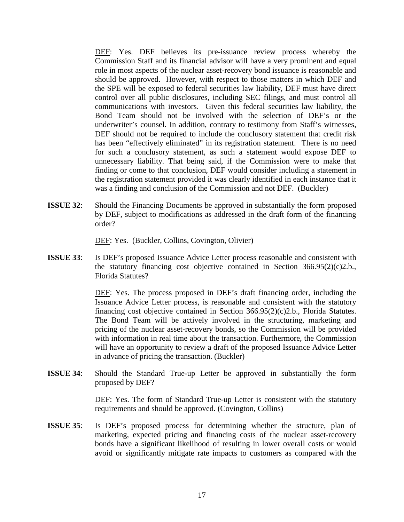DEF: Yes. DEF believes its pre-issuance review process whereby the Commission Staff and its financial advisor will have a very prominent and equal role in most aspects of the nuclear asset-recovery bond issuance is reasonable and should be approved. However, with respect to those matters in which DEF and the SPE will be exposed to federal securities law liability, DEF must have direct control over all public disclosures, including SEC filings, and must control all communications with investors. Given this federal securities law liability, the Bond Team should not be involved with the selection of DEF's or the underwriter's counsel. In addition, contrary to testimony from Staff's witnesses, DEF should not be required to include the conclusory statement that credit risk has been "effectively eliminated" in its registration statement. There is no need for such a conclusory statement, as such a statement would expose DEF to unnecessary liability. That being said, if the Commission were to make that finding or come to that conclusion, DEF would consider including a statement in the registration statement provided it was clearly identified in each instance that it was a finding and conclusion of the Commission and not DEF. (Buckler)

**ISSUE 32:** Should the Financing Documents be approved in substantially the form proposed by DEF, subject to modifications as addressed in the draft form of the financing order?

DEF: Yes. (Buckler, Collins, Covington, Olivier)

**ISSUE 33**: Is DEF's proposed Issuance Advice Letter process reasonable and consistent with the statutory financing cost objective contained in Section  $366.95(2)(c)2.b.,$ Florida Statutes?

> DEF: Yes. The process proposed in DEF's draft financing order, including the Issuance Advice Letter process, is reasonable and consistent with the statutory financing cost objective contained in Section 366.95(2)(c)2.b., Florida Statutes. The Bond Team will be actively involved in the structuring, marketing and pricing of the nuclear asset-recovery bonds, so the Commission will be provided with information in real time about the transaction. Furthermore, the Commission will have an opportunity to review a draft of the proposed Issuance Advice Letter in advance of pricing the transaction. (Buckler)

**ISSUE 34**: Should the Standard True-up Letter be approved in substantially the form proposed by DEF?

> DEF: Yes. The form of Standard True-up Letter is consistent with the statutory requirements and should be approved. (Covington, Collins)

**ISSUE 35**: Is DEF's proposed process for determining whether the structure, plan of marketing, expected pricing and financing costs of the nuclear asset-recovery bonds have a significant likelihood of resulting in lower overall costs or would avoid or significantly mitigate rate impacts to customers as compared with the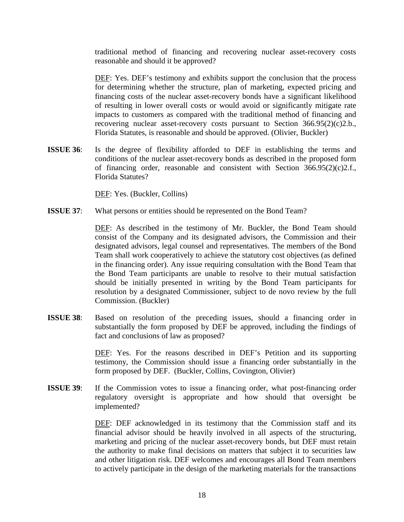traditional method of financing and recovering nuclear asset-recovery costs reasonable and should it be approved?

DEF: Yes. DEF's testimony and exhibits support the conclusion that the process for determining whether the structure, plan of marketing, expected pricing and financing costs of the nuclear asset-recovery bonds have a significant likelihood of resulting in lower overall costs or would avoid or significantly mitigate rate impacts to customers as compared with the traditional method of financing and recovering nuclear asset-recovery costs pursuant to Section 366.95(2)(c)2.b., Florida Statutes, is reasonable and should be approved. (Olivier, Buckler)

**ISSUE 36**: Is the degree of flexibility afforded to DEF in establishing the terms and conditions of the nuclear asset-recovery bonds as described in the proposed form of financing order, reasonable and consistent with Section 366.95(2)(c)2.f., Florida Statutes?

DEF: Yes. (Buckler, Collins)

**ISSUE 37:** What persons or entities should be represented on the Bond Team?

DEF: As described in the testimony of Mr. Buckler, the Bond Team should consist of the Company and its designated advisors, the Commission and their designated advisors, legal counsel and representatives. The members of the Bond Team shall work cooperatively to achieve the statutory cost objectives (as defined in the financing order). Any issue requiring consultation with the Bond Team that the Bond Team participants are unable to resolve to their mutual satisfaction should be initially presented in writing by the Bond Team participants for resolution by a designated Commissioner, subject to de novo review by the full Commission. (Buckler)

**ISSUE 38**: Based on resolution of the preceding issues, should a financing order in substantially the form proposed by DEF be approved, including the findings of fact and conclusions of law as proposed?

> DEF: Yes. For the reasons described in DEF's Petition and its supporting testimony, the Commission should issue a financing order substantially in the form proposed by DEF. (Buckler, Collins, Covington, Olivier)

**ISSUE 39:** If the Commission votes to issue a financing order, what post-financing order regulatory oversight is appropriate and how should that oversight be implemented?

> DEF: DEF acknowledged in its testimony that the Commission staff and its financial advisor should be heavily involved in all aspects of the structuring, marketing and pricing of the nuclear asset-recovery bonds, but DEF must retain the authority to make final decisions on matters that subject it to securities law and other litigation risk. DEF welcomes and encourages all Bond Team members to actively participate in the design of the marketing materials for the transactions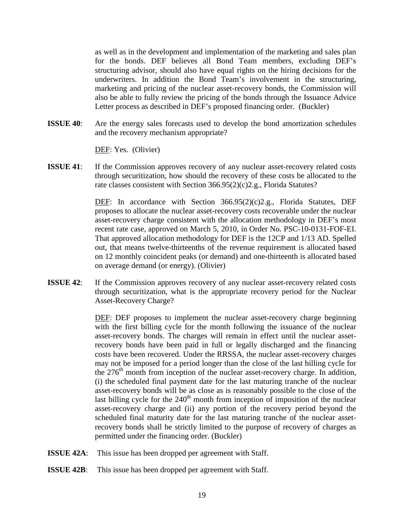as well as in the development and implementation of the marketing and sales plan for the bonds. DEF believes all Bond Team members, excluding DEF's structuring advisor, should also have equal rights on the hiring decisions for the underwriters. In addition the Bond Team's involvement in the structuring, marketing and pricing of the nuclear asset-recovery bonds, the Commission will also be able to fully review the pricing of the bonds through the Issuance Advice Letter process as described in DEF's proposed financing order. (Buckler)

**ISSUE 40**: Are the energy sales forecasts used to develop the bond amortization schedules and the recovery mechanism appropriate?

DEF: Yes. (Olivier)

**ISSUE 41:** If the Commission approves recovery of any nuclear asset-recovery related costs through securitization, how should the recovery of these costs be allocated to the rate classes consistent with Section 366.95(2)(c)2.g., Florida Statutes?

> DEF: In accordance with Section 366.95(2)(c)2.g., Florida Statutes, DEF proposes to allocate the nuclear asset-recovery costs recoverable under the nuclear asset-recovery charge consistent with the allocation methodology in DEF's most recent rate case, approved on March 5, 2010, in Order No. PSC-10-0131-FOF-EI. That approved allocation methodology for DEF is the 12CP and 1/13 AD. Spelled out, that means twelve-thirteenths of the revenue requirement is allocated based on 12 monthly coincident peaks (or demand) and one-thirteenth is allocated based on average demand (or energy). (Olivier)

**ISSUE 42:** If the Commission approves recovery of any nuclear asset-recovery related costs through securitization, what is the appropriate recovery period for the Nuclear Asset-Recovery Charge?

> DEF: DEF proposes to implement the nuclear asset-recovery charge beginning with the first billing cycle for the month following the issuance of the nuclear asset-recovery bonds. The charges will remain in effect until the nuclear assetrecovery bonds have been paid in full or legally discharged and the financing costs have been recovered. Under the RRSSA, the nuclear asset-recovery charges may not be imposed for a period longer than the close of the last billing cycle for the 276<sup>th</sup> month from inception of the nuclear asset-recovery charge. In addition, (i) the scheduled final payment date for the last maturing tranche of the nuclear asset-recovery bonds will be as close as is reasonably possible to the close of the last billing cycle for the  $240<sup>th</sup>$  month from inception of imposition of the nuclear asset-recovery charge and (ii) any portion of the recovery period beyond the scheduled final maturity date for the last maturing tranche of the nuclear assetrecovery bonds shall be strictly limited to the purpose of recovery of charges as permitted under the financing order. (Buckler)

- **ISSUE 42A:** This issue has been dropped per agreement with Staff.
- **ISSUE 42B:** This issue has been dropped per agreement with Staff.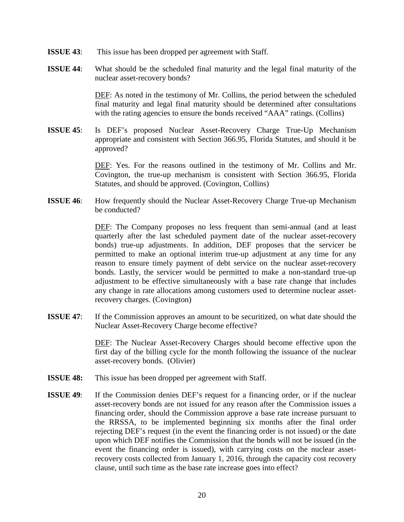- **ISSUE 43:** This issue has been dropped per agreement with Staff.
- **ISSUE 44**: What should be the scheduled final maturity and the legal final maturity of the nuclear asset-recovery bonds?

DEF: As noted in the testimony of Mr. Collins, the period between the scheduled final maturity and legal final maturity should be determined after consultations with the rating agencies to ensure the bonds received "AAA" ratings. (Collins)

**ISSUE 45**: Is DEF's proposed Nuclear Asset-Recovery Charge True-Up Mechanism appropriate and consistent with Section 366.95, Florida Statutes, and should it be approved?

> DEF: Yes. For the reasons outlined in the testimony of Mr. Collins and Mr. Covington, the true-up mechanism is consistent with Section 366.95, Florida Statutes, and should be approved. (Covington, Collins)

**ISSUE 46**: How frequently should the Nuclear Asset-Recovery Charge True-up Mechanism be conducted?

> DEF: The Company proposes no less frequent than semi-annual (and at least quarterly after the last scheduled payment date of the nuclear asset-recovery bonds) true-up adjustments. In addition, DEF proposes that the servicer be permitted to make an optional interim true-up adjustment at any time for any reason to ensure timely payment of debt service on the nuclear asset-recovery bonds. Lastly, the servicer would be permitted to make a non-standard true-up adjustment to be effective simultaneously with a base rate change that includes any change in rate allocations among customers used to determine nuclear assetrecovery charges. (Covington)

**ISSUE 47:** If the Commission approves an amount to be securitized, on what date should the Nuclear Asset-Recovery Charge become effective?

> DEF: The Nuclear Asset-Recovery Charges should become effective upon the first day of the billing cycle for the month following the issuance of the nuclear asset-recovery bonds. (Olivier)

- **ISSUE 48:** This issue has been dropped per agreement with Staff.
- **ISSUE 49:** If the Commission denies DEF's request for a financing order, or if the nuclear asset-recovery bonds are not issued for any reason after the Commission issues a financing order, should the Commission approve a base rate increase pursuant to the RRSSA, to be implemented beginning six months after the final order rejecting DEF's request (in the event the financing order is not issued) or the date upon which DEF notifies the Commission that the bonds will not be issued (in the event the financing order is issued), with carrying costs on the nuclear assetrecovery costs collected from January 1, 2016, through the capacity cost recovery clause, until such time as the base rate increase goes into effect?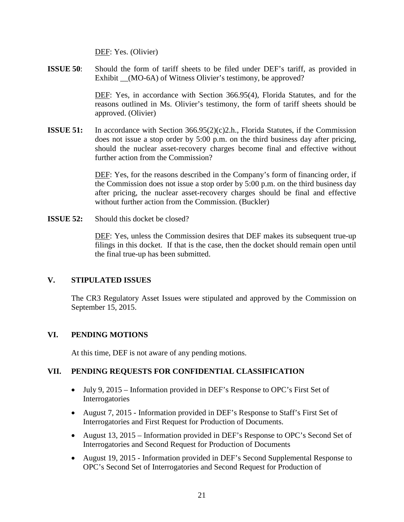DEF: Yes. (Olivier)

**ISSUE 50**: Should the form of tariff sheets to be filed under DEF's tariff, as provided in Exhibit (MO-6A) of Witness Olivier's testimony, be approved?

> DEF: Yes, in accordance with Section 366.95(4), Florida Statutes, and for the reasons outlined in Ms. Olivier's testimony, the form of tariff sheets should be approved. (Olivier)

**ISSUE 51:** In accordance with Section 366.95(2)(c)2.h., Florida Statutes, if the Commission does not issue a stop order by 5:00 p.m. on the third business day after pricing, should the nuclear asset-recovery charges become final and effective without further action from the Commission?

> DEF: Yes, for the reasons described in the Company's form of financing order, if the Commission does not issue a stop order by 5:00 p.m. on the third business day after pricing, the nuclear asset-recovery charges should be final and effective without further action from the Commission. (Buckler)

**ISSUE 52:** Should this docket be closed?

DEF: Yes, unless the Commission desires that DEF makes its subsequent true-up filings in this docket. If that is the case, then the docket should remain open until the final true-up has been submitted.

#### **V. STIPULATED ISSUES**

The CR3 Regulatory Asset Issues were stipulated and approved by the Commission on September 15, 2015.

#### **VI. PENDING MOTIONS**

At this time, DEF is not aware of any pending motions.

#### **VII. PENDING REQUESTS FOR CONFIDENTIAL CLASSIFICATION**

- July 9, 2015 Information provided in DEF's Response to OPC's First Set of Interrogatories
- August 7, 2015 Information provided in DEF's Response to Staff's First Set of Interrogatories and First Request for Production of Documents.
- August 13, 2015 Information provided in DEF's Response to OPC's Second Set of Interrogatories and Second Request for Production of Documents
- August 19, 2015 Information provided in DEF's Second Supplemental Response to OPC's Second Set of Interrogatories and Second Request for Production of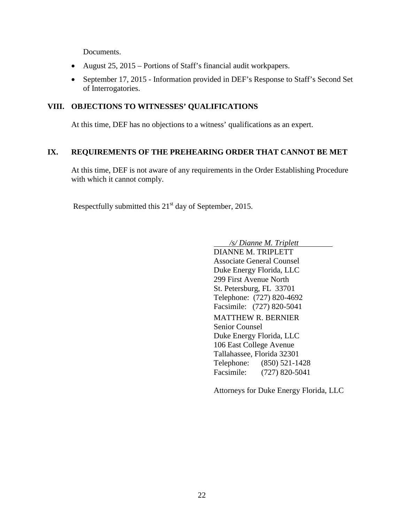Documents.

- August 25, 2015 Portions of Staff's financial audit workpapers.
- September 17, 2015 Information provided in DEF's Response to Staff's Second Set of Interrogatories.

#### **VIII. OBJECTIONS TO WITNESSES' QUALIFICATIONS**

At this time, DEF has no objections to a witness' qualifications as an expert.

#### **IX. REQUIREMENTS OF THE PREHEARING ORDER THAT CANNOT BE MET**

At this time, DEF is not aware of any requirements in the Order Establishing Procedure with which it cannot comply.

Respectfully submitted this  $21<sup>st</sup>$  day of September, 2015.

 */s/ Dianne M. Triplett* DIANNE M. TRIPLETT Associate General Counsel Duke Energy Florida, LLC 299 First Avenue North St. Petersburg, FL 33701 Telephone: (727) 820-4692 Facsimile: (727) 820-5041 MATTHEW R. BERNIER Senior Counsel Duke Energy Florida, LLC 106 East College Avenue Tallahassee, Florida 32301 Telephone: (850) 521-1428 Facsimile: (727) 820-5041

Attorneys for Duke Energy Florida, LLC